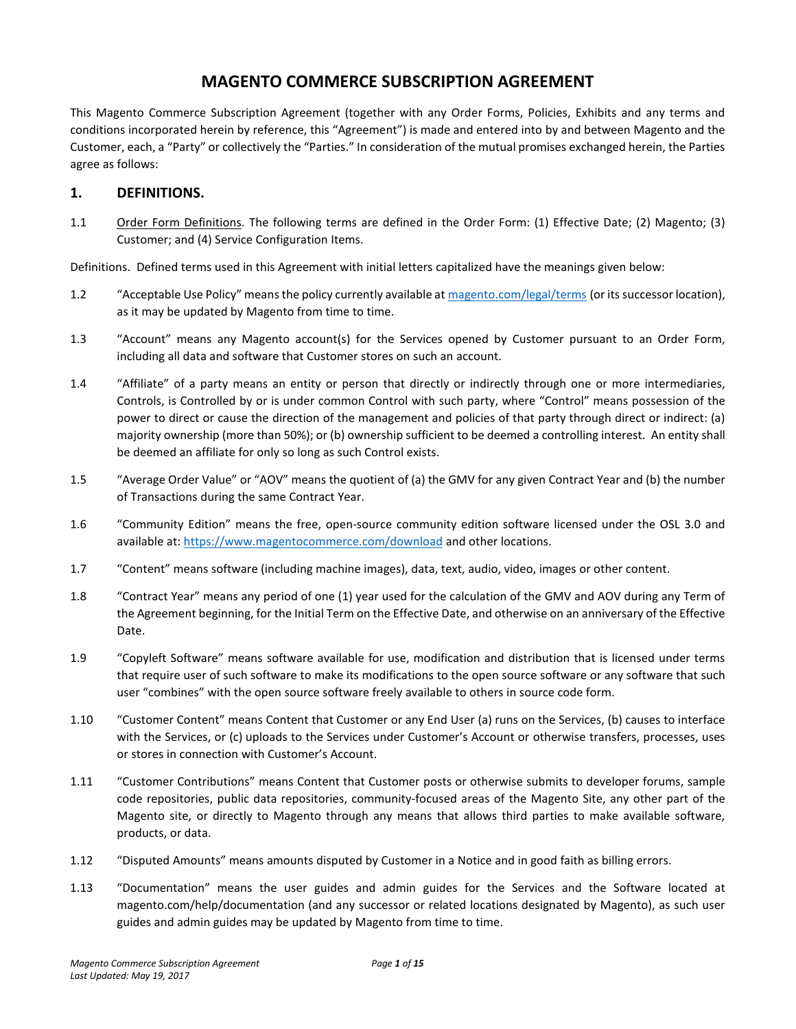# **MAGENTO COMMERCE SUBSCRIPTION AGREEMENT**

This Magento Commerce Subscription Agreement (together with any Order Forms, Policies, Exhibits and any terms and conditions incorporated herein by reference, this "Agreement") is made and entered into by and between Magento and the Customer, each, a "Party" or collectively the "Parties." In consideration of the mutual promises exchanged herein, the Parties agree as follows:

### **1. DEFINITIONS.**

1.1 Order Form Definitions. The following terms are defined in the Order Form: (1) Effective Date; (2) Magento; (3) Customer; and (4) Service Configuration Items.

Definitions. Defined terms used in this Agreement with initial letters capitalized have the meanings given below:

- 1.2 "Acceptable Use Policy" means the policy currently available at [magento.com/legal/terms](https://magento.com/legal/terms) (or its successor location), as it may be updated by Magento from time to time.
- 1.3 "Account" means any Magento account(s) for the Services opened by Customer pursuant to an Order Form, including all data and software that Customer stores on such an account.
- 1.4 "Affiliate" of a party means an entity or person that directly or indirectly through one or more intermediaries, Controls, is Controlled by or is under common Control with such party, where "Control" means possession of the power to direct or cause the direction of the management and policies of that party through direct or indirect: (a) majority ownership (more than 50%); or (b) ownership sufficient to be deemed a controlling interest. An entity shall be deemed an affiliate for only so long as such Control exists.
- 1.5 "Average Order Value" or "AOV" means the quotient of (a) the GMV for any given Contract Year and (b) the number of Transactions during the same Contract Year.
- 1.6 "Community Edition" means the free, open-source community edition software licensed under the OSL 3.0 and available at: <https://www.magentocommerce.com/download> and other locations.
- 1.7 "Content" means software (including machine images), data, text, audio, video, images or other content.
- 1.8 "Contract Year" means any period of one (1) year used for the calculation of the GMV and AOV during any Term of the Agreement beginning, for the Initial Term on the Effective Date, and otherwise on an anniversary of the Effective Date.
- 1.9 "Copyleft Software" means software available for use, modification and distribution that is licensed under terms that require user of such software to make its modifications to the open source software or any software that such user "combines" with the open source software freely available to others in source code form.
- 1.10 "Customer Content" means Content that Customer or any End User (a) runs on the Services, (b) causes to interface with the Services, or (c) uploads to the Services under Customer's Account or otherwise transfers, processes, uses or stores in connection with Customer's Account.
- 1.11 "Customer Contributions" means Content that Customer posts or otherwise submits to developer forums, sample code repositories, public data repositories, community-focused areas of the Magento Site, any other part of the Magento site, or directly to Magento through any means that allows third parties to make available software, products, or data.
- 1.12 "Disputed Amounts" means amounts disputed by Customer in a Notice and in good faith as billing errors.
- 1.13 "Documentation" means the user guides and admin guides for the Services and the Software located at magento.com/help/documentation (and any successor or related locations designated by Magento), as such user guides and admin guides may be updated by Magento from time to time.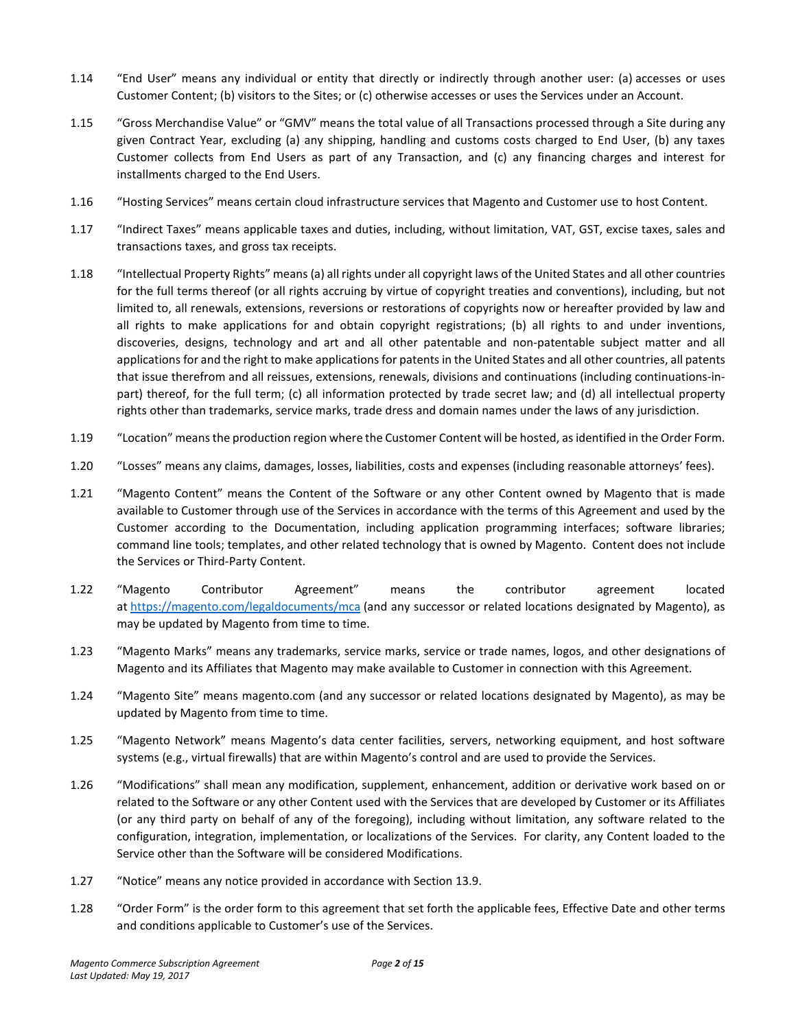- 1.14 "End User" means any individual or entity that directly or indirectly through another user: (a) accesses or uses Customer Content; (b) visitors to the Sites; or (c) otherwise accesses or uses the Services under an Account.
- 1.15 "Gross Merchandise Value" or "GMV" means the total value of all Transactions processed through a Site during any given Contract Year, excluding (a) any shipping, handling and customs costs charged to End User, (b) any taxes Customer collects from End Users as part of any Transaction, and (c) any financing charges and interest for installments charged to the End Users.
- 1.16 "Hosting Services" means certain cloud infrastructure services that Magento and Customer use to host Content.
- 1.17 "Indirect Taxes" means applicable taxes and duties, including, without limitation, VAT, GST, excise taxes, sales and transactions taxes, and gross tax receipts.
- 1.18 "Intellectual Property Rights" means (a) all rights under all copyright laws of the United States and all other countries for the full terms thereof (or all rights accruing by virtue of copyright treaties and conventions), including, but not limited to, all renewals, extensions, reversions or restorations of copyrights now or hereafter provided by law and all rights to make applications for and obtain copyright registrations; (b) all rights to and under inventions, discoveries, designs, technology and art and all other patentable and non-patentable subject matter and all applications for and the right to make applications for patents in the United States and all other countries, all patents that issue therefrom and all reissues, extensions, renewals, divisions and continuations (including continuations-inpart) thereof, for the full term; (c) all information protected by trade secret law; and (d) all intellectual property rights other than trademarks, service marks, trade dress and domain names under the laws of any jurisdiction.
- 1.19 "Location" means the production region where the Customer Content will be hosted, as identified in the Order Form.
- 1.20 "Losses" means any claims, damages, losses, liabilities, costs and expenses (including reasonable attorneys' fees).
- 1.21 "Magento Content" means the Content of the Software or any other Content owned by Magento that is made available to Customer through use of the Services in accordance with the terms of this Agreement and used by the Customer according to the Documentation, including application programming interfaces; software libraries; command line tools; templates, and other related technology that is owned by Magento. Content does not include the Services or Third-Party Content.
- 1.22 "Magento Contributor Agreement" means the contributor agreement located at <https://magento.com/legaldocuments/mca> (and any successor or related locations designated by Magento), as may be updated by Magento from time to time.
- 1.23 "Magento Marks" means any trademarks, service marks, service or trade names, logos, and other designations of Magento and its Affiliates that Magento may make available to Customer in connection with this Agreement.
- 1.24 "Magento Site" means magento.com (and any successor or related locations designated by Magento), as may be updated by Magento from time to time.
- 1.25 "Magento Network" means Magento's data center facilities, servers, networking equipment, and host software systems (e.g., virtual firewalls) that are within Magento's control and are used to provide the Services.
- 1.26 "Modifications" shall mean any modification, supplement, enhancement, addition or derivative work based on or related to the Software or any other Content used with the Services that are developed by Customer or its Affiliates (or any third party on behalf of any of the foregoing), including without limitation, any software related to the configuration, integration, implementation, or localizations of the Services. For clarity, any Content loaded to the Service other than the Software will be considered Modifications.
- 1.27 "Notice" means any notice provided in accordance with Section 13.9.
- 1.28 "Order Form" is the order form to this agreement that set forth the applicable fees, Effective Date and other terms and conditions applicable to Customer's use of the Services.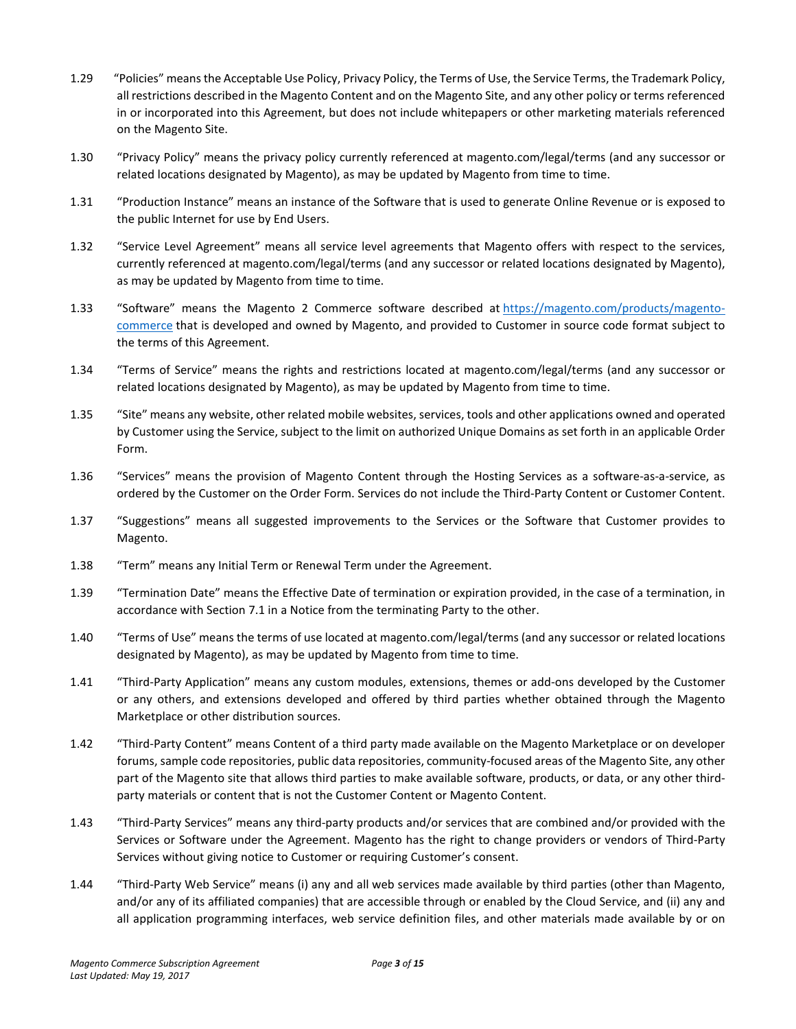- 1.29 "Policies" means the Acceptable Use Policy, Privacy Policy, the Terms of Use, the Service Terms, the Trademark Policy, all restrictions described in the Magento Content and on the Magento Site, and any other policy or terms referenced in or incorporated into this Agreement, but does not include whitepapers or other marketing materials referenced on the Magento Site.
- 1.30 "Privacy Policy" means the privacy policy currently referenced at magento.com/legal/terms (and any successor or related locations designated by Magento), as may be updated by Magento from time to time.
- 1.31 "Production Instance" means an instance of the Software that is used to generate Online Revenue or is exposed to the public Internet for use by End Users.
- 1.32 "Service Level Agreement" means all service level agreements that Magento offers with respect to the services, currently referenced at magento.com/legal/terms (and any successor or related locations designated by Magento), as may be updated by Magento from time to time.
- 1.33 "Software" means the Magento 2 Commerce software described at [https://magento.com/products/magento](https://magento.com/products/magento-commerce)[commerce](https://magento.com/products/magento-commerce) that is developed and owned by Magento, and provided to Customer in source code format subject to the terms of this Agreement.
- 1.34 "Terms of Service" means the rights and restrictions located at magento.com/legal/terms (and any successor or related locations designated by Magento), as may be updated by Magento from time to time.
- 1.35 "Site" means any website, other related mobile websites, services, tools and other applications owned and operated by Customer using the Service, subject to the limit on authorized Unique Domains as set forth in an applicable Order Form.
- 1.36 "Services" means the provision of Magento Content through the Hosting Services as a software-as-a-service, as ordered by the Customer on the Order Form. Services do not include the Third-Party Content or Customer Content.
- 1.37 "Suggestions" means all suggested improvements to the Services or the Software that Customer provides to Magento.
- 1.38 "Term" means any Initial Term or Renewal Term under the Agreement.
- 1.39 "Termination Date" means the Effective Date of termination or expiration provided, in the case of a termination, in accordance with Section 7.1 in a Notice from the terminating Party to the other.
- 1.40 "Terms of Use" means the terms of use located at magento.com/legal/terms (and any successor or related locations designated by Magento), as may be updated by Magento from time to time.
- 1.41 "Third-Party Application" means any custom modules, extensions, themes or add-ons developed by the Customer or any others, and extensions developed and offered by third parties whether obtained through the Magento Marketplace or other distribution sources.
- 1.42 "Third-Party Content" means Content of a third party made available on the Magento Marketplace or on developer forums, sample code repositories, public data repositories, community-focused areas of the Magento Site, any other part of the Magento site that allows third parties to make available software, products, or data, or any other thirdparty materials or content that is not the Customer Content or Magento Content.
- 1.43 "Third-Party Services" means any third-party products and/or services that are combined and/or provided with the Services or Software under the Agreement. Magento has the right to change providers or vendors of Third-Party Services without giving notice to Customer or requiring Customer's consent.
- 1.44 "Third-Party Web Service" means (i) any and all web services made available by third parties (other than Magento, and/or any of its affiliated companies) that are accessible through or enabled by the Cloud Service, and (ii) any and all application programming interfaces, web service definition files, and other materials made available by or on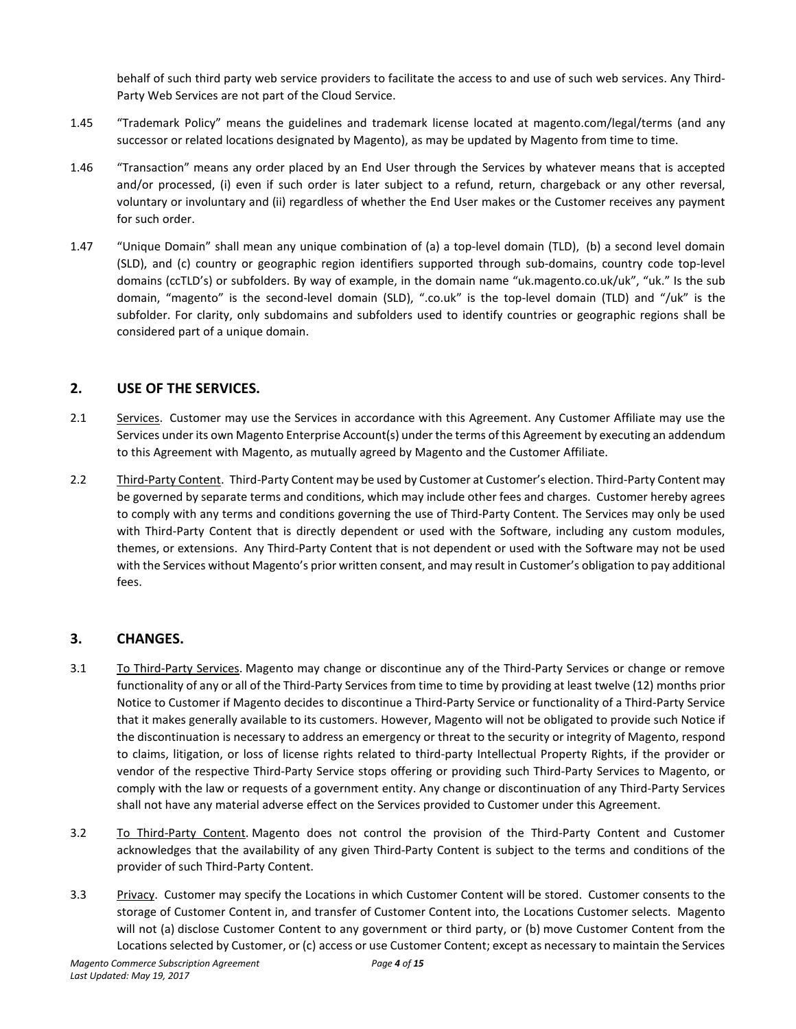behalf of such third party web service providers to facilitate the access to and use of such web services. Any Third-Party Web Services are not part of the Cloud Service.

- 1.45 "Trademark Policy" means the guidelines and trademark license located at magento.com/legal/terms (and any successor or related locations designated by Magento), as may be updated by Magento from time to time.
- 1.46 "Transaction" means any order placed by an End User through the Services by whatever means that is accepted and/or processed, (i) even if such order is later subject to a refund, return, chargeback or any other reversal, voluntary or involuntary and (ii) regardless of whether the End User makes or the Customer receives any payment for such order.
- 1.47 "Unique Domain" shall mean any unique combination of (a) a top-level domain (TLD), (b) a second level domain (SLD), and (c) country or geographic region identifiers supported through sub-domains, country code top-level domains (ccTLD's) or subfolders. By way of example, in the domain name "uk.magento.co.uk/uk", "uk." Is the sub domain, "magento" is the second-level domain (SLD), ".co.uk" is the top-level domain (TLD) and "/uk" is the subfolder. For clarity, only subdomains and subfolders used to identify countries or geographic regions shall be considered part of a unique domain.

### **2. USE OF THE SERVICES.**

- 2.1 Services. Customer may use the Services in accordance with this Agreement. Any Customer Affiliate may use the Services under its own Magento Enterprise Account(s) under the terms of this Agreement by executing an addendum to this Agreement with Magento, as mutually agreed by Magento and the Customer Affiliate.
- 2.2 Third-Party Content. Third-Party Content may be used by Customer at Customer's election. Third-Party Content may be governed by separate terms and conditions, which may include other fees and charges. Customer hereby agrees to comply with any terms and conditions governing the use of Third-Party Content. The Services may only be used with Third-Party Content that is directly dependent or used with the Software, including any custom modules, themes, or extensions. Any Third-Party Content that is not dependent or used with the Software may not be used with the Services without Magento's prior written consent, and may result in Customer's obligation to pay additional fees.

### **3. CHANGES.**

- 3.1 To Third-Party Services. Magento may change or discontinue any of the Third-Party Services or change or remove functionality of any or all of the Third-Party Services from time to time by providing at least twelve (12) months prior Notice to Customer if Magento decides to discontinue a Third-Party Service or functionality of a Third-Party Service that it makes generally available to its customers. However, Magento will not be obligated to provide such Notice if the discontinuation is necessary to address an emergency or threat to the security or integrity of Magento, respond to claims, litigation, or loss of license rights related to third-party Intellectual Property Rights, if the provider or vendor of the respective Third-Party Service stops offering or providing such Third-Party Services to Magento, or comply with the law or requests of a government entity. Any change or discontinuation of any Third-Party Services shall not have any material adverse effect on the Services provided to Customer under this Agreement.
- 3.2 To Third-Party Content. Magento does not control the provision of the Third-Party Content and Customer acknowledges that the availability of any given Third-Party Content is subject to the terms and conditions of the provider of such Third-Party Content.
- 3.3 Privacy. Customer may specify the Locations in which Customer Content will be stored. Customer consents to the storage of Customer Content in, and transfer of Customer Content into, the Locations Customer selects. Magento will not (a) disclose Customer Content to any government or third party, or (b) move Customer Content from the Locations selected by Customer, or (c) access or use Customer Content; except as necessary to maintain the Services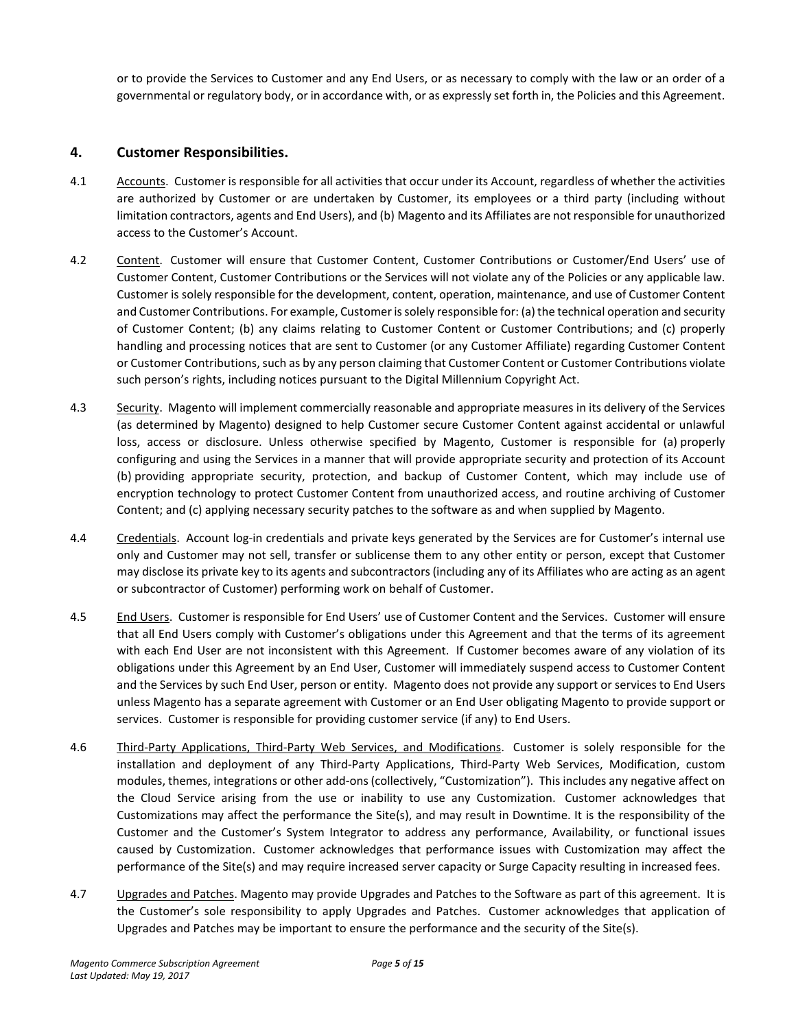or to provide the Services to Customer and any End Users, or as necessary to comply with the law or an order of a governmental or regulatory body, or in accordance with, or as expressly set forth in, the Policies and this Agreement.

### **4. Customer Responsibilities.**

- 4.1 Accounts. Customer is responsible for all activities that occur under its Account, regardless of whether the activities are authorized by Customer or are undertaken by Customer, its employees or a third party (including without limitation contractors, agents and End Users), and (b) Magento and its Affiliates are not responsible for unauthorized access to the Customer's Account.
- 4.2 Content. Customer will ensure that Customer Content, Customer Contributions or Customer/End Users' use of Customer Content, Customer Contributions or the Services will not violate any of the Policies or any applicable law. Customer is solely responsible for the development, content, operation, maintenance, and use of Customer Content and Customer Contributions. For example, Customer is solely responsible for: (a) the technical operation and security of Customer Content; (b) any claims relating to Customer Content or Customer Contributions; and (c) properly handling and processing notices that are sent to Customer (or any Customer Affiliate) regarding Customer Content or Customer Contributions, such as by any person claiming that Customer Content or Customer Contributions violate such person's rights, including notices pursuant to the Digital Millennium Copyright Act.
- 4.3 Security. Magento will implement commercially reasonable and appropriate measures in its delivery of the Services (as determined by Magento) designed to help Customer secure Customer Content against accidental or unlawful loss, access or disclosure. Unless otherwise specified by Magento, Customer is responsible for (a) properly configuring and using the Services in a manner that will provide appropriate security and protection of its Account (b) providing appropriate security, protection, and backup of Customer Content, which may include use of encryption technology to protect Customer Content from unauthorized access, and routine archiving of Customer Content; and (c) applying necessary security patches to the software as and when supplied by Magento.
- 4.4 Credentials. Account log-in credentials and private keys generated by the Services are for Customer's internal use only and Customer may not sell, transfer or sublicense them to any other entity or person, except that Customer may disclose its private key to its agents and subcontractors (including any of its Affiliates who are acting as an agent or subcontractor of Customer) performing work on behalf of Customer.
- 4.5 End Users. Customer is responsible for End Users' use of Customer Content and the Services. Customer will ensure that all End Users comply with Customer's obligations under this Agreement and that the terms of its agreement with each End User are not inconsistent with this Agreement. If Customer becomes aware of any violation of its obligations under this Agreement by an End User, Customer will immediately suspend access to Customer Content and the Services by such End User, person or entity. Magento does not provide any support or services to End Users unless Magento has a separate agreement with Customer or an End User obligating Magento to provide support or services. Customer is responsible for providing customer service (if any) to End Users.
- 4.6 Third-Party Applications, Third-Party Web Services, and Modifications. Customer is solely responsible for the installation and deployment of any Third-Party Applications, Third-Party Web Services, Modification, custom modules, themes, integrations or other add-ons (collectively, "Customization"). This includes any negative affect on the Cloud Service arising from the use or inability to use any Customization. Customer acknowledges that Customizations may affect the performance the Site(s), and may result in Downtime. It is the responsibility of the Customer and the Customer's System Integrator to address any performance, Availability, or functional issues caused by Customization. Customer acknowledges that performance issues with Customization may affect the performance of the Site(s) and may require increased server capacity or Surge Capacity resulting in increased fees.
- 4.7 Upgrades and Patches. Magento may provide Upgrades and Patches to the Software as part of this agreement. It is the Customer's sole responsibility to apply Upgrades and Patches. Customer acknowledges that application of Upgrades and Patches may be important to ensure the performance and the security of the Site(s).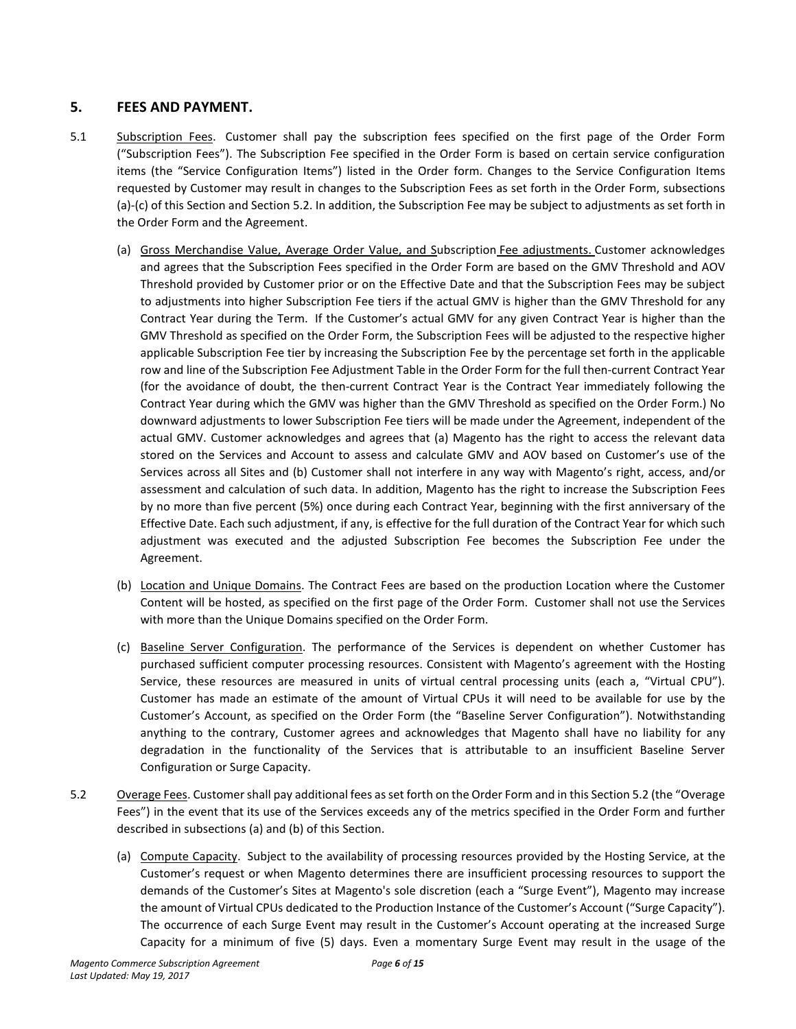# **5. FEES AND PAYMENT.**

- 5.1 Subscription Fees. Customer shall pay the subscription fees specified on the first page of the Order Form ("Subscription Fees"). The Subscription Fee specified in the Order Form is based on certain service configuration items (the "Service Configuration Items") listed in the Order form. Changes to the Service Configuration Items requested by Customer may result in changes to the Subscription Fees as set forth in the Order Form, subsections (a)-(c) of this Section and Section 5.2. In addition, the Subscription Fee may be subject to adjustments as set forth in the Order Form and the Agreement.
	- (a) Gross Merchandise Value, Average Order Value, and Subscription Fee adjustments. Customer acknowledges and agrees that the Subscription Fees specified in the Order Form are based on the GMV Threshold and AOV Threshold provided by Customer prior or on the Effective Date and that the Subscription Fees may be subject to adjustments into higher Subscription Fee tiers if the actual GMV is higher than the GMV Threshold for any Contract Year during the Term. If the Customer's actual GMV for any given Contract Year is higher than the GMV Threshold as specified on the Order Form, the Subscription Fees will be adjusted to the respective higher applicable Subscription Fee tier by increasing the Subscription Fee by the percentage set forth in the applicable row and line of the Subscription Fee Adjustment Table in the Order Form for the full then-current Contract Year (for the avoidance of doubt, the then-current Contract Year is the Contract Year immediately following the Contract Year during which the GMV was higher than the GMV Threshold as specified on the Order Form.) No downward adjustments to lower Subscription Fee tiers will be made under the Agreement, independent of the actual GMV. Customer acknowledges and agrees that (a) Magento has the right to access the relevant data stored on the Services and Account to assess and calculate GMV and AOV based on Customer's use of the Services across all Sites and (b) Customer shall not interfere in any way with Magento's right, access, and/or assessment and calculation of such data. In addition, Magento has the right to increase the Subscription Fees by no more than five percent (5%) once during each Contract Year, beginning with the first anniversary of the Effective Date. Each such adjustment, if any, is effective for the full duration of the Contract Year for which such adjustment was executed and the adjusted Subscription Fee becomes the Subscription Fee under the Agreement.
	- (b) Location and Unique Domains. The Contract Fees are based on the production Location where the Customer Content will be hosted, as specified on the first page of the Order Form. Customer shall not use the Services with more than the Unique Domains specified on the Order Form.
	- (c) Baseline Server Configuration. The performance of the Services is dependent on whether Customer has purchased sufficient computer processing resources. Consistent with Magento's agreement with the Hosting Service, these resources are measured in units of virtual central processing units (each a, "Virtual CPU"). Customer has made an estimate of the amount of Virtual CPUs it will need to be available for use by the Customer's Account, as specified on the Order Form (the "Baseline Server Configuration"). Notwithstanding anything to the contrary, Customer agrees and acknowledges that Magento shall have no liability for any degradation in the functionality of the Services that is attributable to an insufficient Baseline Server Configuration or Surge Capacity.
- 5.2 Overage Fees. Customer shall pay additional fees as set forth on the Order Form and in this Section 5.2 (the "Overage Fees") in the event that its use of the Services exceeds any of the metrics specified in the Order Form and further described in subsections (a) and (b) of this Section.
	- (a) Compute Capacity. Subject to the availability of processing resources provided by the Hosting Service, at the Customer's request or when Magento determines there are insufficient processing resources to support the demands of the Customer's Sites at Magento's sole discretion (each a "Surge Event"), Magento may increase the amount of Virtual CPUs dedicated to the Production Instance of the Customer's Account ("Surge Capacity"). The occurrence of each Surge Event may result in the Customer's Account operating at the increased Surge Capacity for a minimum of five (5) days. Even a momentary Surge Event may result in the usage of the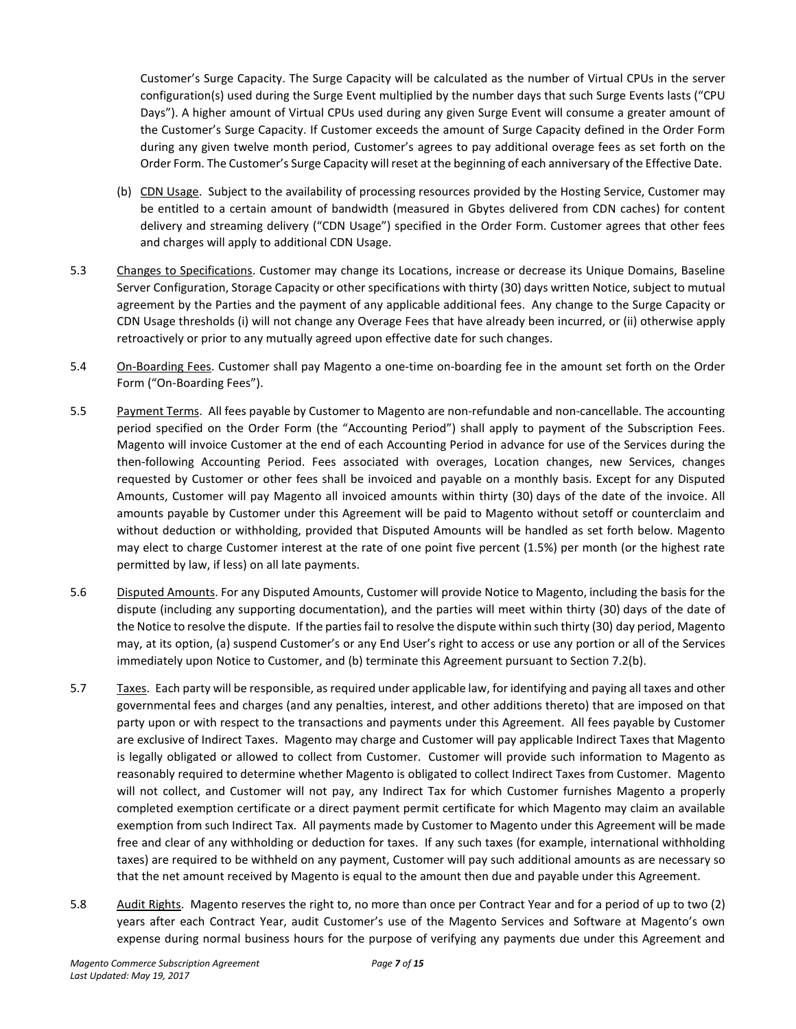Customer's Surge Capacity. The Surge Capacity will be calculated as the number of Virtual CPUs in the server configuration(s) used during the Surge Event multiplied by the number days that such Surge Events lasts ("CPU Days"). A higher amount of Virtual CPUs used during any given Surge Event will consume a greater amount of the Customer's Surge Capacity. If Customer exceeds the amount of Surge Capacity defined in the Order Form during any given twelve month period, Customer's agrees to pay additional overage fees as set forth on the Order Form. The Customer's Surge Capacity will reset at the beginning of each anniversary of the Effective Date.

- (b) CDN Usage. Subject to the availability of processing resources provided by the Hosting Service, Customer may be entitled to a certain amount of bandwidth (measured in Gbytes delivered from CDN caches) for content delivery and streaming delivery ("CDN Usage") specified in the Order Form. Customer agrees that other fees and charges will apply to additional CDN Usage.
- 5.3 Changes to Specifications. Customer may change its Locations, increase or decrease its Unique Domains, Baseline Server Configuration, Storage Capacity or other specifications with thirty (30) days written Notice, subject to mutual agreement by the Parties and the payment of any applicable additional fees. Any change to the Surge Capacity or CDN Usage thresholds (i) will not change any Overage Fees that have already been incurred, or (ii) otherwise apply retroactively or prior to any mutually agreed upon effective date for such changes.
- 5.4 On-Boarding Fees. Customer shall pay Magento a one-time on-boarding fee in the amount set forth on the Order Form ("On-Boarding Fees").
- 5.5 Payment Terms. All fees payable by Customer to Magento are non-refundable and non-cancellable. The accounting period specified on the Order Form (the "Accounting Period") shall apply to payment of the Subscription Fees. Magento will invoice Customer at the end of each Accounting Period in advance for use of the Services during the then-following Accounting Period. Fees associated with overages, Location changes, new Services, changes requested by Customer or other fees shall be invoiced and payable on a monthly basis. Except for any Disputed Amounts, Customer will pay Magento all invoiced amounts within thirty (30) days of the date of the invoice. All amounts payable by Customer under this Agreement will be paid to Magento without setoff or counterclaim and without deduction or withholding, provided that Disputed Amounts will be handled as set forth below. Magento may elect to charge Customer interest at the rate of one point five percent (1.5%) per month (or the highest rate permitted by law, if less) on all late payments.
- 5.6 Disputed Amounts. For any Disputed Amounts, Customer will provide Notice to Magento, including the basis for the dispute (including any supporting documentation), and the parties will meet within thirty (30) days of the date of the Notice to resolve the dispute. If the parties fail to resolve the dispute within such thirty (30) day period, Magento may, at its option, (a) suspend Customer's or any End User's right to access or use any portion or all of the Services immediately upon Notice to Customer, and (b) terminate this Agreement pursuant to Section 7.2(b).
- 5.7 Taxes. Each party will be responsible, as required under applicable law, for identifying and paying all taxes and other governmental fees and charges (and any penalties, interest, and other additions thereto) that are imposed on that party upon or with respect to the transactions and payments under this Agreement. All fees payable by Customer are exclusive of Indirect Taxes. Magento may charge and Customer will pay applicable Indirect Taxes that Magento is legally obligated or allowed to collect from Customer. Customer will provide such information to Magento as reasonably required to determine whether Magento is obligated to collect Indirect Taxes from Customer. Magento will not collect, and Customer will not pay, any Indirect Tax for which Customer furnishes Magento a properly completed exemption certificate or a direct payment permit certificate for which Magento may claim an available exemption from such Indirect Tax. All payments made by Customer to Magento under this Agreement will be made free and clear of any withholding or deduction for taxes. If any such taxes (for example, international withholding taxes) are required to be withheld on any payment, Customer will pay such additional amounts as are necessary so that the net amount received by Magento is equal to the amount then due and payable under this Agreement.
- 5.8 Audit Rights. Magento reserves the right to, no more than once per Contract Year and for a period of up to two (2) years after each Contract Year, audit Customer's use of the Magento Services and Software at Magento's own expense during normal business hours for the purpose of verifying any payments due under this Agreement and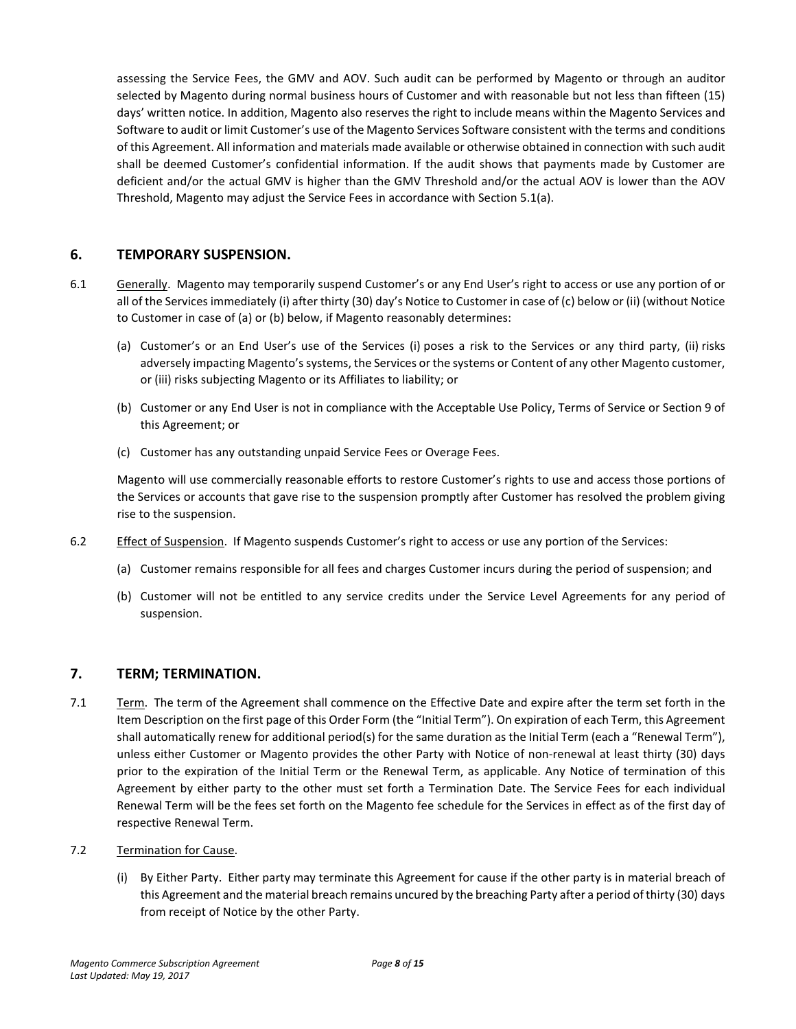assessing the Service Fees, the GMV and AOV. Such audit can be performed by Magento or through an auditor selected by Magento during normal business hours of Customer and with reasonable but not less than fifteen (15) days' written notice. In addition, Magento also reserves the right to include means within the Magento Services and Software to audit or limit Customer's use of the Magento Services Software consistent with the terms and conditions of this Agreement. All information and materials made available or otherwise obtained in connection with such audit shall be deemed Customer's confidential information. If the audit shows that payments made by Customer are deficient and/or the actual GMV is higher than the GMV Threshold and/or the actual AOV is lower than the AOV Threshold, Magento may adjust the Service Fees in accordance with Section 5.1(a).

### **6. TEMPORARY SUSPENSION.**

- 6.1 Generally. Magento may temporarily suspend Customer's or any End User's right to access or use any portion of or all of the Services immediately (i) after thirty (30) day's Notice to Customer in case of (c) below or (ii) (without Notice to Customer in case of (a) or (b) below, if Magento reasonably determines:
	- (a) Customer's or an End User's use of the Services (i) poses a risk to the Services or any third party, (ii) risks adversely impacting Magento's systems, the Services or the systems or Content of any other Magento customer, or (iii) risks subjecting Magento or its Affiliates to liability; or
	- (b) Customer or any End User is not in compliance with the Acceptable Use Policy, Terms of Service or Section 9 of this Agreement; or
	- (c) Customer has any outstanding unpaid Service Fees or Overage Fees.

Magento will use commercially reasonable efforts to restore Customer's rights to use and access those portions of the Services or accounts that gave rise to the suspension promptly after Customer has resolved the problem giving rise to the suspension.

- 6.2 Effect of Suspension. If Magento suspends Customer's right to access or use any portion of the Services:
	- (a) Customer remains responsible for all fees and charges Customer incurs during the period of suspension; and
	- (b) Customer will not be entitled to any service credits under the Service Level Agreements for any period of suspension.

#### **7. TERM; TERMINATION.**

- 7.1 Term. The term of the Agreement shall commence on the Effective Date and expire after the term set forth in the Item Description on the first page of this Order Form (the "Initial Term"). On expiration of each Term, this Agreement shall automatically renew for additional period(s) for the same duration as the Initial Term (each a "Renewal Term"), unless either Customer or Magento provides the other Party with Notice of non-renewal at least thirty (30) days prior to the expiration of the Initial Term or the Renewal Term, as applicable. Any Notice of termination of this Agreement by either party to the other must set forth a Termination Date. The Service Fees for each individual Renewal Term will be the fees set forth on the Magento fee schedule for the Services in effect as of the first day of respective Renewal Term.
- 7.2 Termination for Cause.
	- (i) By Either Party. Either party may terminate this Agreement for cause if the other party is in material breach of this Agreement and the material breach remains uncured by the breaching Party after a period of thirty (30) days from receipt of Notice by the other Party.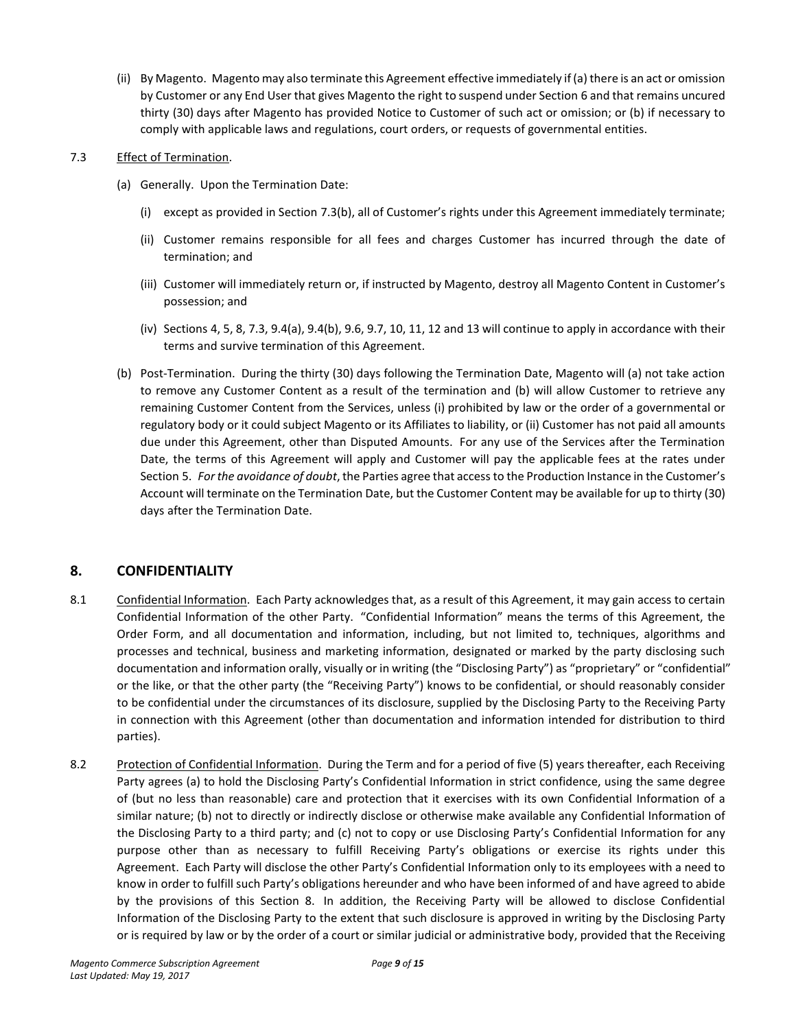(ii) By Magento. Magento may also terminate this Agreement effective immediately if (a) there is an act or omission by Customer or any End User that gives Magento the right to suspend under Section 6 and that remains uncured thirty (30) days after Magento has provided Notice to Customer of such act or omission; or (b) if necessary to comply with applicable laws and regulations, court orders, or requests of governmental entities.

### 7.3 Effect of Termination.

- (a) Generally. Upon the Termination Date:
	- (i) except as provided in Section 7.3(b), all of Customer's rights under this Agreement immediately terminate;
	- (ii) Customer remains responsible for all fees and charges Customer has incurred through the date of termination; and
	- (iii) Customer will immediately return or, if instructed by Magento, destroy all Magento Content in Customer's possession; and
	- (iv) Sections 4, 5, 8, 7.3, 9.4(a), 9.4(b), 9.6, 9.7, 10, 11, 12 and 13 will continue to apply in accordance with their terms and survive termination of this Agreement.
- (b) Post-Termination. During the thirty (30) days following the Termination Date, Magento will (a) not take action to remove any Customer Content as a result of the termination and (b) will allow Customer to retrieve any remaining Customer Content from the Services, unless (i) prohibited by law or the order of a governmental or regulatory body or it could subject Magento or its Affiliates to liability, or (ii) Customer has not paid all amounts due under this Agreement, other than Disputed Amounts. For any use of the Services after the Termination Date, the terms of this Agreement will apply and Customer will pay the applicable fees at the rates under Section 5. *For the avoidance of doubt*, the Parties agree that access to the Production Instance in the Customer's Account will terminate on the Termination Date, but the Customer Content may be available for up to thirty (30) days after the Termination Date.

# **8. CONFIDENTIALITY**

- 8.1 Confidential Information. Each Party acknowledges that, as a result of this Agreement, it may gain access to certain Confidential Information of the other Party. "Confidential Information" means the terms of this Agreement, the Order Form, and all documentation and information, including, but not limited to, techniques, algorithms and processes and technical, business and marketing information, designated or marked by the party disclosing such documentation and information orally, visually or in writing (the "Disclosing Party") as "proprietary" or "confidential" or the like, or that the other party (the "Receiving Party") knows to be confidential, or should reasonably consider to be confidential under the circumstances of its disclosure, supplied by the Disclosing Party to the Receiving Party in connection with this Agreement (other than documentation and information intended for distribution to third parties).
- 8.2 Protection of Confidential Information. During the Term and for a period of five (5) years thereafter, each Receiving Party agrees (a) to hold the Disclosing Party's Confidential Information in strict confidence, using the same degree of (but no less than reasonable) care and protection that it exercises with its own Confidential Information of a similar nature; (b) not to directly or indirectly disclose or otherwise make available any Confidential Information of the Disclosing Party to a third party; and (c) not to copy or use Disclosing Party's Confidential Information for any purpose other than as necessary to fulfill Receiving Party's obligations or exercise its rights under this Agreement. Each Party will disclose the other Party's Confidential Information only to its employees with a need to know in order to fulfill such Party's obligations hereunder and who have been informed of and have agreed to abide by the provisions of this Section 8. In addition, the Receiving Party will be allowed to disclose Confidential Information of the Disclosing Party to the extent that such disclosure is approved in writing by the Disclosing Party or is required by law or by the order of a court or similar judicial or administrative body, provided that the Receiving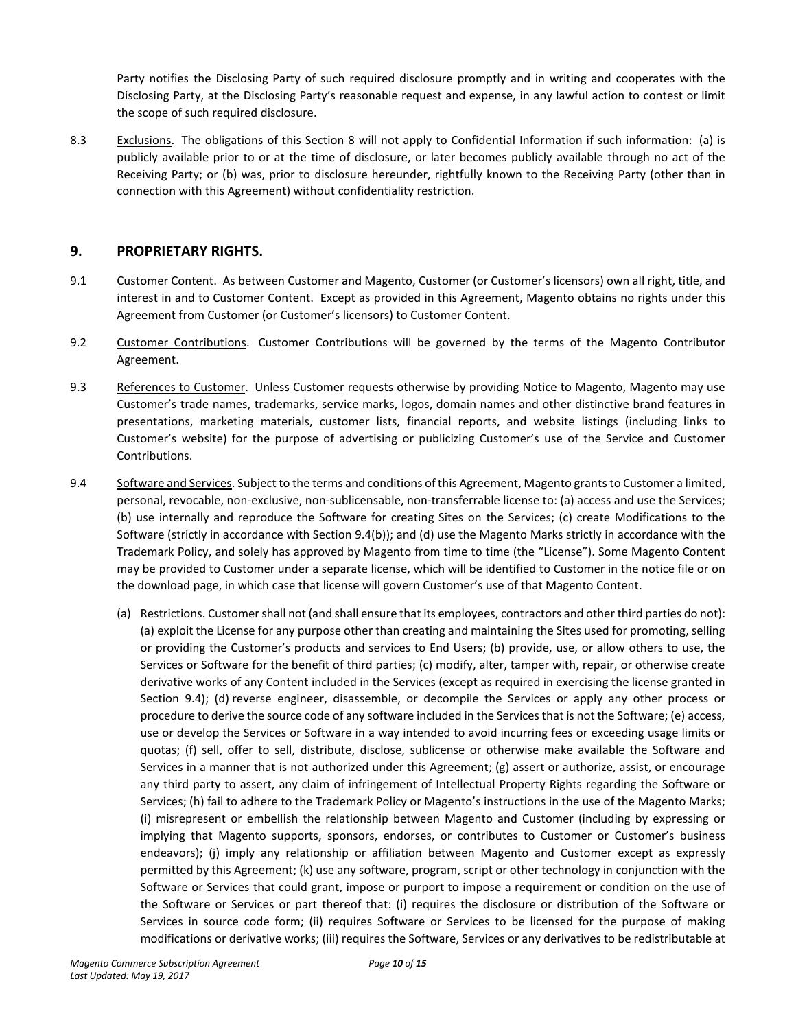Party notifies the Disclosing Party of such required disclosure promptly and in writing and cooperates with the Disclosing Party, at the Disclosing Party's reasonable request and expense, in any lawful action to contest or limit the scope of such required disclosure.

8.3 Exclusions. The obligations of this Section 8 will not apply to Confidential Information if such information: (a) is publicly available prior to or at the time of disclosure, or later becomes publicly available through no act of the Receiving Party; or (b) was, prior to disclosure hereunder, rightfully known to the Receiving Party (other than in connection with this Agreement) without confidentiality restriction.

### **9. PROPRIETARY RIGHTS.**

- 9.1 Customer Content. As between Customer and Magento, Customer (or Customer's licensors) own all right, title, and interest in and to Customer Content. Except as provided in this Agreement, Magento obtains no rights under this Agreement from Customer (or Customer's licensors) to Customer Content.
- 9.2 Customer Contributions. Customer Contributions will be governed by the terms of the Magento Contributor Agreement.
- 9.3 References to Customer. Unless Customer requests otherwise by providing Notice to Magento, Magento may use Customer's trade names, trademarks, service marks, logos, domain names and other distinctive brand features in presentations, marketing materials, customer lists, financial reports, and website listings (including links to Customer's website) for the purpose of advertising or publicizing Customer's use of the Service and Customer Contributions.
- 9.4 Software and Services. Subject to the terms and conditions of this Agreement, Magento grants to Customer a limited, personal, revocable, non-exclusive, non-sublicensable, non-transferrable license to: (a) access and use the Services; (b) use internally and reproduce the Software for creating Sites on the Services; (c) create Modifications to the Software (strictly in accordance with Section 9.4(b)); and (d) use the Magento Marks strictly in accordance with the Trademark Policy, and solely has approved by Magento from time to time (the "License"). Some Magento Content may be provided to Customer under a separate license, which will be identified to Customer in the notice file or on the download page, in which case that license will govern Customer's use of that Magento Content.
	- (a) Restrictions. Customer shall not (and shall ensure that its employees, contractors and other third parties do not): (a) exploit the License for any purpose other than creating and maintaining the Sites used for promoting, selling or providing the Customer's products and services to End Users; (b) provide, use, or allow others to use, the Services or Software for the benefit of third parties; (c) modify, alter, tamper with, repair, or otherwise create derivative works of any Content included in the Services (except as required in exercising the license granted in Section 9.4); (d) reverse engineer, disassemble, or decompile the Services or apply any other process or procedure to derive the source code of any software included in the Services that is not the Software; (e) access, use or develop the Services or Software in a way intended to avoid incurring fees or exceeding usage limits or quotas; (f) sell, offer to sell, distribute, disclose, sublicense or otherwise make available the Software and Services in a manner that is not authorized under this Agreement; (g) assert or authorize, assist, or encourage any third party to assert, any claim of infringement of Intellectual Property Rights regarding the Software or Services; (h) fail to adhere to the Trademark Policy or Magento's instructions in the use of the Magento Marks; (i) misrepresent or embellish the relationship between Magento and Customer (including by expressing or implying that Magento supports, sponsors, endorses, or contributes to Customer or Customer's business endeavors); (j) imply any relationship or affiliation between Magento and Customer except as expressly permitted by this Agreement; (k) use any software, program, script or other technology in conjunction with the Software or Services that could grant, impose or purport to impose a requirement or condition on the use of the Software or Services or part thereof that: (i) requires the disclosure or distribution of the Software or Services in source code form; (ii) requires Software or Services to be licensed for the purpose of making modifications or derivative works; (iii) requires the Software, Services or any derivatives to be redistributable at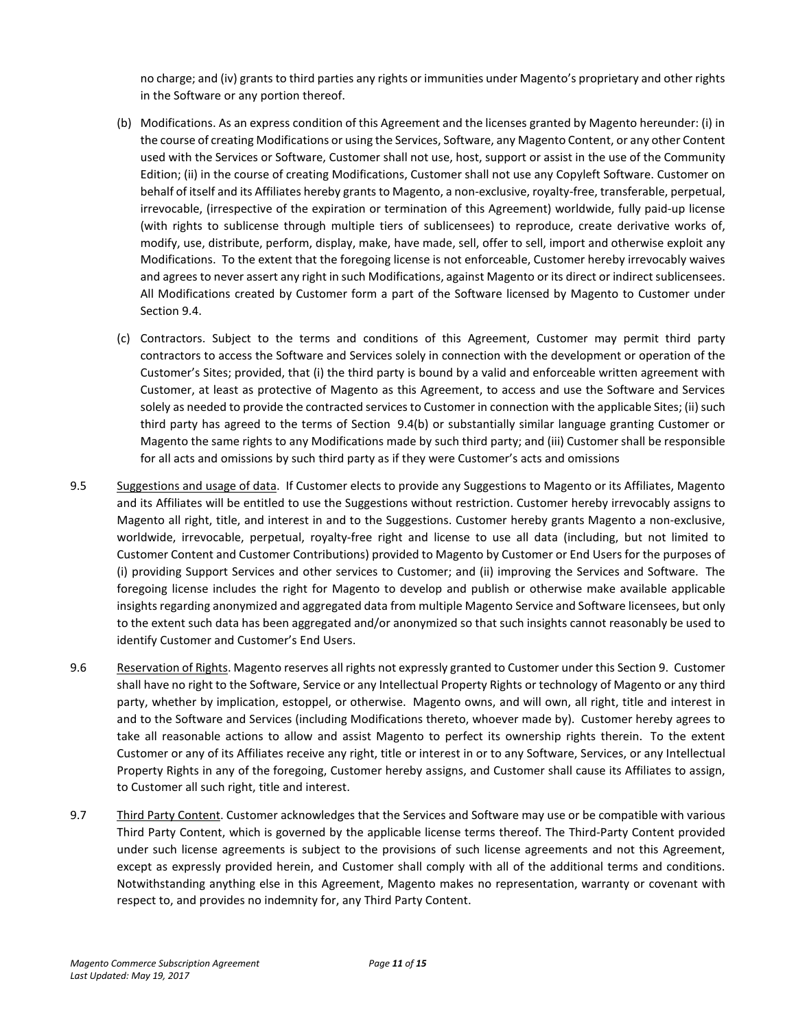no charge; and (iv) grants to third parties any rights or immunities under Magento's proprietary and other rights in the Software or any portion thereof.

- (b) Modifications. As an express condition of this Agreement and the licenses granted by Magento hereunder: (i) in the course of creating Modifications or using the Services, Software, any Magento Content, or any other Content used with the Services or Software, Customer shall not use, host, support or assist in the use of the Community Edition; (ii) in the course of creating Modifications, Customer shall not use any Copyleft Software. Customer on behalf of itself and its Affiliates hereby grants to Magento, a non-exclusive, royalty-free, transferable, perpetual, irrevocable, (irrespective of the expiration or termination of this Agreement) worldwide, fully paid-up license (with rights to sublicense through multiple tiers of sublicensees) to reproduce, create derivative works of, modify, use, distribute, perform, display, make, have made, sell, offer to sell, import and otherwise exploit any Modifications. To the extent that the foregoing license is not enforceable, Customer hereby irrevocably waives and agrees to never assert any right in such Modifications, against Magento or its direct or indirect sublicensees. All Modifications created by Customer form a part of the Software licensed by Magento to Customer under Section 9.4.
- (c) Contractors. Subject to the terms and conditions of this Agreement, Customer may permit third party contractors to access the Software and Services solely in connection with the development or operation of the Customer's Sites; provided, that (i) the third party is bound by a valid and enforceable written agreement with Customer, at least as protective of Magento as this Agreement, to access and use the Software and Services solely as needed to provide the contracted services to Customer in connection with the applicable Sites; (ii) such third party has agreed to the terms of Section 9.4(b) or substantially similar language granting Customer or Magento the same rights to any Modifications made by such third party; and (iii) Customer shall be responsible for all acts and omissions by such third party as if they were Customer's acts and omissions
- 9.5 Suggestions and usage of data. If Customer elects to provide any Suggestions to Magento or its Affiliates, Magento and its Affiliates will be entitled to use the Suggestions without restriction. Customer hereby irrevocably assigns to Magento all right, title, and interest in and to the Suggestions. Customer hereby grants Magento a non-exclusive, worldwide, irrevocable, perpetual, royalty-free right and license to use all data (including, but not limited to Customer Content and Customer Contributions) provided to Magento by Customer or End Users for the purposes of (i) providing Support Services and other services to Customer; and (ii) improving the Services and Software. The foregoing license includes the right for Magento to develop and publish or otherwise make available applicable insights regarding anonymized and aggregated data from multiple Magento Service and Software licensees, but only to the extent such data has been aggregated and/or anonymized so that such insights cannot reasonably be used to identify Customer and Customer's End Users.
- 9.6 Reservation of Rights. Magento reserves all rights not expressly granted to Customer under this Section 9. Customer shall have no right to the Software, Service or any Intellectual Property Rights or technology of Magento or any third party, whether by implication, estoppel, or otherwise. Magento owns, and will own, all right, title and interest in and to the Software and Services (including Modifications thereto, whoever made by). Customer hereby agrees to take all reasonable actions to allow and assist Magento to perfect its ownership rights therein. To the extent Customer or any of its Affiliates receive any right, title or interest in or to any Software, Services, or any Intellectual Property Rights in any of the foregoing, Customer hereby assigns, and Customer shall cause its Affiliates to assign, to Customer all such right, title and interest.
- 9.7 Third Party Content. Customer acknowledges that the Services and Software may use or be compatible with various Third Party Content, which is governed by the applicable license terms thereof. The Third-Party Content provided under such license agreements is subject to the provisions of such license agreements and not this Agreement, except as expressly provided herein, and Customer shall comply with all of the additional terms and conditions. Notwithstanding anything else in this Agreement, Magento makes no representation, warranty or covenant with respect to, and provides no indemnity for, any Third Party Content.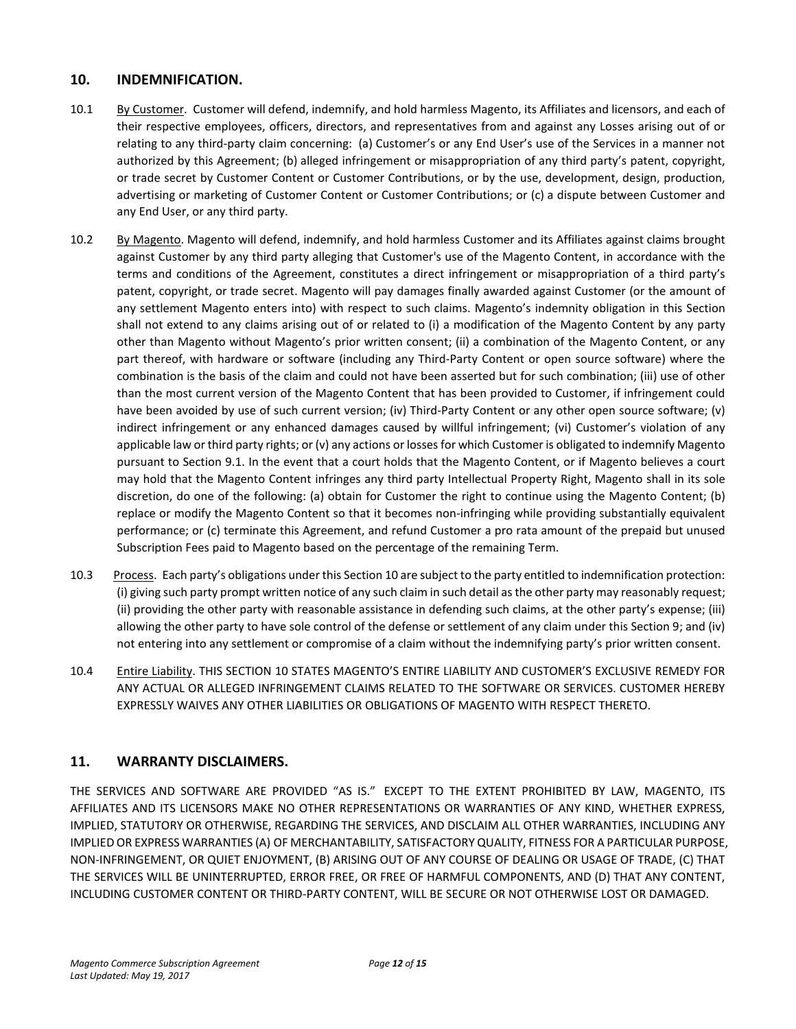## **10. INDEMNIFICATION.**

- 10.1 By Customer. Customer will defend, indemnify, and hold harmless Magento, its Affiliates and licensors, and each of their respective employees, officers, directors, and representatives from and against any Losses arising out of or relating to any third-party claim concerning: (a) Customer's or any End User's use of the Services in a manner not authorized by this Agreement; (b) alleged infringement or misappropriation of any third party's patent, copyright, or trade secret by Customer Content or Customer Contributions, or by the use, development, design, production, advertising or marketing of Customer Content or Customer Contributions; or (c) a dispute between Customer and any End User, or any third party.
- 10.2 By Magento. Magento will defend, indemnify, and hold harmless Customer and its Affiliates against claims brought against Customer by any third party alleging that Customer's use of the Magento Content, in accordance with the terms and conditions of the Agreement, constitutes a direct infringement or misappropriation of a third party's patent, copyright, or trade secret. Magento will pay damages finally awarded against Customer (or the amount of any settlement Magento enters into) with respect to such claims. Magento's indemnity obligation in this Section shall not extend to any claims arising out of or related to (i) a modification of the Magento Content by any party other than Magento without Magento's prior written consent; (ii) a combination of the Magento Content, or any part thereof, with hardware or software (including any Third-Party Content or open source software) where the combination is the basis of the claim and could not have been asserted but for such combination; (iii) use of other than the most current version of the Magento Content that has been provided to Customer, if infringement could have been avoided by use of such current version; (iv) Third-Party Content or any other open source software; (v) indirect infringement or any enhanced damages caused by willful infringement; (vi) Customer's violation of any applicable law or third party rights; or (v) any actions or losses for which Customer is obligated to indemnify Magento pursuant to Section 9.1. In the event that a court holds that the Magento Content, or if Magento believes a court may hold that the Magento Content infringes any third party Intellectual Property Right, Magento shall in its sole discretion, do one of the following: (a) obtain for Customer the right to continue using the Magento Content; (b) replace or modify the Magento Content so that it becomes non-infringing while providing substantially equivalent performance; or (c) terminate this Agreement, and refund Customer a pro rata amount of the prepaid but unused Subscription Fees paid to Magento based on the percentage of the remaining Term.
- 10.3 Process. Each party's obligations under this Section 10 are subject to the party entitled to indemnification protection: (i) giving such party prompt written notice of any such claim in such detail as the other party may reasonably request; (ii) providing the other party with reasonable assistance in defending such claims, at the other party's expense; (iii) allowing the other party to have sole control of the defense or settlement of any claim under this Section 9; and (iv) not entering into any settlement or compromise of a claim without the indemnifying party's prior written consent.
- 10.4 Entire Liability. THIS SECTION 10 STATES MAGENTO'S ENTIRE LIABILITY AND CUSTOMER'S EXCLUSIVE REMEDY FOR ANY ACTUAL OR ALLEGED INFRINGEMENT CLAIMS RELATED TO THE SOFTWARE OR SERVICES. CUSTOMER HEREBY EXPRESSLY WAIVES ANY OTHER LIABILITIES OR OBLIGATIONS OF MAGENTO WITH RESPECT THERETO.

# **11. WARRANTY DISCLAIMERS.**

THE SERVICES AND SOFTWARE ARE PROVIDED "AS IS." EXCEPT TO THE EXTENT PROHIBITED BY LAW, MAGENTO, ITS AFFILIATES AND ITS LICENSORS MAKE NO OTHER REPRESENTATIONS OR WARRANTIES OF ANY KIND, WHETHER EXPRESS, IMPLIED, STATUTORY OR OTHERWISE, REGARDING THE SERVICES, AND DISCLAIM ALL OTHER WARRANTIES, INCLUDING ANY IMPLIED OR EXPRESS WARRANTIES (A) OF MERCHANTABILITY, SATISFACTORY QUALITY, FITNESS FOR A PARTICULAR PURPOSE, NON-INFRINGEMENT, OR QUIET ENJOYMENT, (B) ARISING OUT OF ANY COURSE OF DEALING OR USAGE OF TRADE, (C) THAT THE SERVICES WILL BE UNINTERRUPTED, ERROR FREE, OR FREE OF HARMFUL COMPONENTS, AND (D) THAT ANY CONTENT, INCLUDING CUSTOMER CONTENT OR THIRD-PARTY CONTENT, WILL BE SECURE OR NOT OTHERWISE LOST OR DAMAGED.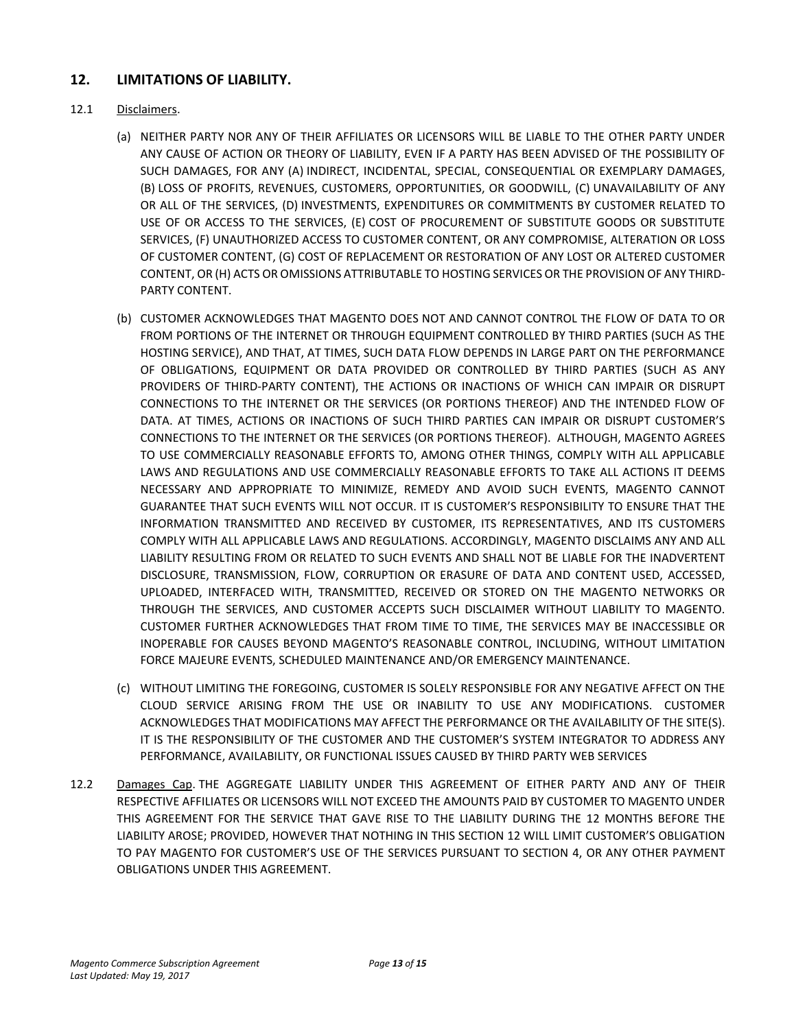# **12. LIMITATIONS OF LIABILITY.**

### 12.1 Disclaimers.

- (a) NEITHER PARTY NOR ANY OF THEIR AFFILIATES OR LICENSORS WILL BE LIABLE TO THE OTHER PARTY UNDER ANY CAUSE OF ACTION OR THEORY OF LIABILITY, EVEN IF A PARTY HAS BEEN ADVISED OF THE POSSIBILITY OF SUCH DAMAGES, FOR ANY (A) INDIRECT, INCIDENTAL, SPECIAL, CONSEQUENTIAL OR EXEMPLARY DAMAGES, (B) LOSS OF PROFITS, REVENUES, CUSTOMERS, OPPORTUNITIES, OR GOODWILL, (C) UNAVAILABILITY OF ANY OR ALL OF THE SERVICES, (D) INVESTMENTS, EXPENDITURES OR COMMITMENTS BY CUSTOMER RELATED TO USE OF OR ACCESS TO THE SERVICES, (E) COST OF PROCUREMENT OF SUBSTITUTE GOODS OR SUBSTITUTE SERVICES, (F) UNAUTHORIZED ACCESS TO CUSTOMER CONTENT, OR ANY COMPROMISE, ALTERATION OR LOSS OF CUSTOMER CONTENT, (G) COST OF REPLACEMENT OR RESTORATION OF ANY LOST OR ALTERED CUSTOMER CONTENT, OR (H) ACTS OR OMISSIONS ATTRIBUTABLE TO HOSTING SERVICES OR THE PROVISION OF ANY THIRD-PARTY CONTENT.
- (b) CUSTOMER ACKNOWLEDGES THAT MAGENTO DOES NOT AND CANNOT CONTROL THE FLOW OF DATA TO OR FROM PORTIONS OF THE INTERNET OR THROUGH EQUIPMENT CONTROLLED BY THIRD PARTIES (SUCH AS THE HOSTING SERVICE), AND THAT, AT TIMES, SUCH DATA FLOW DEPENDS IN LARGE PART ON THE PERFORMANCE OF OBLIGATIONS, EQUIPMENT OR DATA PROVIDED OR CONTROLLED BY THIRD PARTIES (SUCH AS ANY PROVIDERS OF THIRD-PARTY CONTENT), THE ACTIONS OR INACTIONS OF WHICH CAN IMPAIR OR DISRUPT CONNECTIONS TO THE INTERNET OR THE SERVICES (OR PORTIONS THEREOF) AND THE INTENDED FLOW OF DATA. AT TIMES, ACTIONS OR INACTIONS OF SUCH THIRD PARTIES CAN IMPAIR OR DISRUPT CUSTOMER'S CONNECTIONS TO THE INTERNET OR THE SERVICES (OR PORTIONS THEREOF). ALTHOUGH, MAGENTO AGREES TO USE COMMERCIALLY REASONABLE EFFORTS TO, AMONG OTHER THINGS, COMPLY WITH ALL APPLICABLE LAWS AND REGULATIONS AND USE COMMERCIALLY REASONABLE EFFORTS TO TAKE ALL ACTIONS IT DEEMS NECESSARY AND APPROPRIATE TO MINIMIZE, REMEDY AND AVOID SUCH EVENTS, MAGENTO CANNOT GUARANTEE THAT SUCH EVENTS WILL NOT OCCUR. IT IS CUSTOMER'S RESPONSIBILITY TO ENSURE THAT THE INFORMATION TRANSMITTED AND RECEIVED BY CUSTOMER, ITS REPRESENTATIVES, AND ITS CUSTOMERS COMPLY WITH ALL APPLICABLE LAWS AND REGULATIONS. ACCORDINGLY, MAGENTO DISCLAIMS ANY AND ALL LIABILITY RESULTING FROM OR RELATED TO SUCH EVENTS AND SHALL NOT BE LIABLE FOR THE INADVERTENT DISCLOSURE, TRANSMISSION, FLOW, CORRUPTION OR ERASURE OF DATA AND CONTENT USED, ACCESSED, UPLOADED, INTERFACED WITH, TRANSMITTED, RECEIVED OR STORED ON THE MAGENTO NETWORKS OR THROUGH THE SERVICES, AND CUSTOMER ACCEPTS SUCH DISCLAIMER WITHOUT LIABILITY TO MAGENTO. CUSTOMER FURTHER ACKNOWLEDGES THAT FROM TIME TO TIME, THE SERVICES MAY BE INACCESSIBLE OR INOPERABLE FOR CAUSES BEYOND MAGENTO'S REASONABLE CONTROL, INCLUDING, WITHOUT LIMITATION FORCE MAJEURE EVENTS, SCHEDULED MAINTENANCE AND/OR EMERGENCY MAINTENANCE.
- (c) WITHOUT LIMITING THE FOREGOING, CUSTOMER IS SOLELY RESPONSIBLE FOR ANY NEGATIVE AFFECT ON THE CLOUD SERVICE ARISING FROM THE USE OR INABILITY TO USE ANY MODIFICATIONS. CUSTOMER ACKNOWLEDGES THAT MODIFICATIONS MAY AFFECT THE PERFORMANCE OR THE AVAILABILITY OF THE SITE(S). IT IS THE RESPONSIBILITY OF THE CUSTOMER AND THE CUSTOMER'S SYSTEM INTEGRATOR TO ADDRESS ANY PERFORMANCE, AVAILABILITY, OR FUNCTIONAL ISSUES CAUSED BY THIRD PARTY WEB SERVICES
- 12.2 Damages Cap. THE AGGREGATE LIABILITY UNDER THIS AGREEMENT OF EITHER PARTY AND ANY OF THEIR RESPECTIVE AFFILIATES OR LICENSORS WILL NOT EXCEED THE AMOUNTS PAID BY CUSTOMER TO MAGENTO UNDER THIS AGREEMENT FOR THE SERVICE THAT GAVE RISE TO THE LIABILITY DURING THE 12 MONTHS BEFORE THE LIABILITY AROSE; PROVIDED, HOWEVER THAT NOTHING IN THIS SECTION 12 WILL LIMIT CUSTOMER'S OBLIGATION TO PAY MAGENTO FOR CUSTOMER'S USE OF THE SERVICES PURSUANT TO SECTION 4, OR ANY OTHER PAYMENT OBLIGATIONS UNDER THIS AGREEMENT.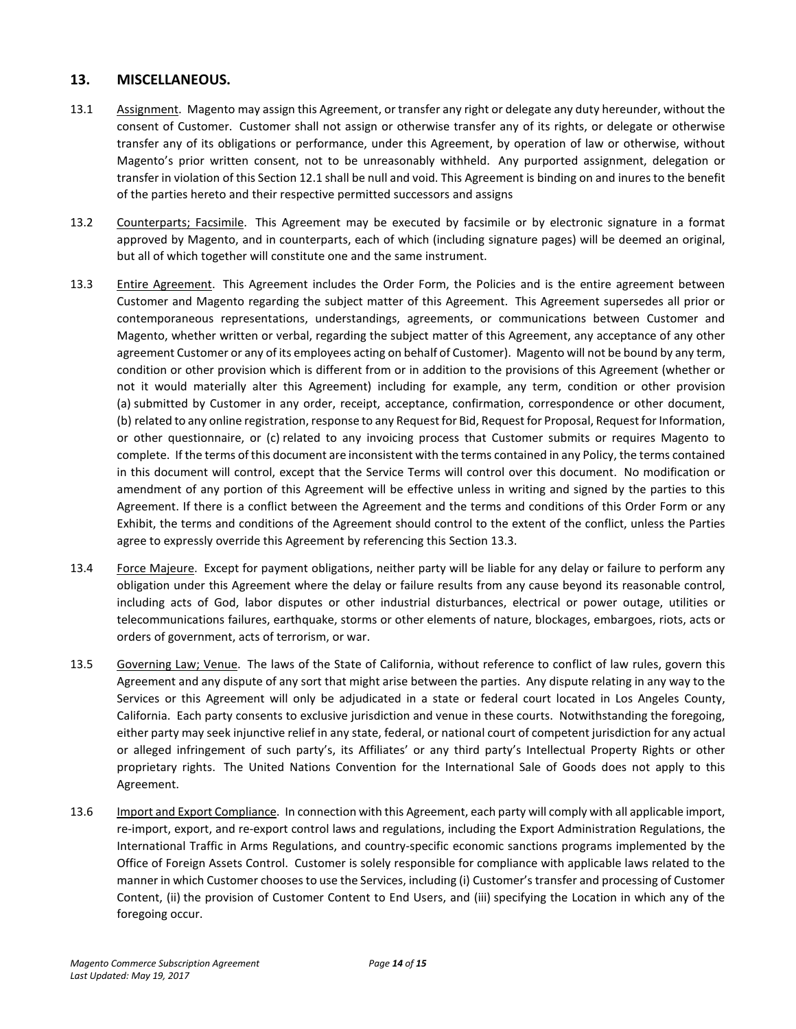### **13. MISCELLANEOUS.**

- 13.1 Assignment. Magento may assign this Agreement, or transfer any right or delegate any duty hereunder, without the consent of Customer. Customer shall not assign or otherwise transfer any of its rights, or delegate or otherwise transfer any of its obligations or performance, under this Agreement, by operation of law or otherwise, without Magento's prior written consent, not to be unreasonably withheld. Any purported assignment, delegation or transfer in violation of this Section 12.1 shall be null and void. This Agreement is binding on and inures to the benefit of the parties hereto and their respective permitted successors and assigns
- 13.2 Counterparts; Facsimile. This Agreement may be executed by facsimile or by electronic signature in a format approved by Magento, and in counterparts, each of which (including signature pages) will be deemed an original, but all of which together will constitute one and the same instrument.
- 13.3 Entire Agreement. This Agreement includes the Order Form, the Policies and is the entire agreement between Customer and Magento regarding the subject matter of this Agreement. This Agreement supersedes all prior or contemporaneous representations, understandings, agreements, or communications between Customer and Magento, whether written or verbal, regarding the subject matter of this Agreement, any acceptance of any other agreement Customer or any of its employees acting on behalf of Customer). Magento will not be bound by any term, condition or other provision which is different from or in addition to the provisions of this Agreement (whether or not it would materially alter this Agreement) including for example, any term, condition or other provision (a) submitted by Customer in any order, receipt, acceptance, confirmation, correspondence or other document, (b) related to any online registration, response to any Request for Bid, Request for Proposal, Request for Information, or other questionnaire, or (c) related to any invoicing process that Customer submits or requires Magento to complete. If the terms of this document are inconsistent with the terms contained in any Policy, the terms contained in this document will control, except that the Service Terms will control over this document. No modification or amendment of any portion of this Agreement will be effective unless in writing and signed by the parties to this Agreement. If there is a conflict between the Agreement and the terms and conditions of this Order Form or any Exhibit, the terms and conditions of the Agreement should control to the extent of the conflict, unless the Parties agree to expressly override this Agreement by referencing this Section 13.3.
- 13.4 Force Majeure. Except for payment obligations, neither party will be liable for any delay or failure to perform any obligation under this Agreement where the delay or failure results from any cause beyond its reasonable control, including acts of God, labor disputes or other industrial disturbances, electrical or power outage, utilities or telecommunications failures, earthquake, storms or other elements of nature, blockages, embargoes, riots, acts or orders of government, acts of terrorism, or war.
- 13.5 Governing Law; Venue. The laws of the State of California, without reference to conflict of law rules, govern this Agreement and any dispute of any sort that might arise between the parties. Any dispute relating in any way to the Services or this Agreement will only be adjudicated in a state or federal court located in Los Angeles County, California. Each party consents to exclusive jurisdiction and venue in these courts. Notwithstanding the foregoing, either party may seek injunctive relief in any state, federal, or national court of competent jurisdiction for any actual or alleged infringement of such party's, its Affiliates' or any third party's Intellectual Property Rights or other proprietary rights. The United Nations Convention for the International Sale of Goods does not apply to this Agreement.
- 13.6 Import and Export Compliance. In connection with this Agreement, each party will comply with all applicable import, re-import, export, and re-export control laws and regulations, including the Export Administration Regulations, the International Traffic in Arms Regulations, and country-specific economic sanctions programs implemented by the Office of Foreign Assets Control. Customer is solely responsible for compliance with applicable laws related to the manner in which Customer chooses to use the Services, including (i) Customer's transfer and processing of Customer Content, (ii) the provision of Customer Content to End Users, and (iii) specifying the Location in which any of the foregoing occur.